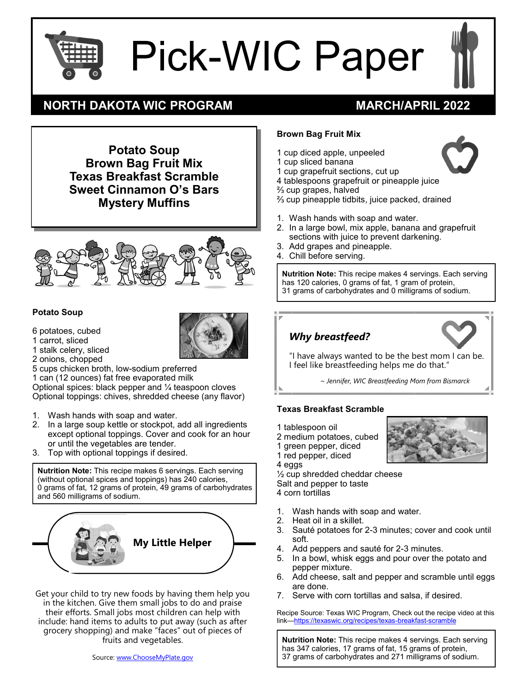

# Pick-WIC Paper



## **NORTH DAKOTA WIC PROGRAM MARCH/APRIL 2022**

**Potato Soup Brown Bag Fruit Mix Texas Breakfast Scramble Sweet Cinnamon O's Bars Mystery Muffins**



#### **Potato Soup**

- 6 potatoes, cubed
- 1 carrot, sliced
- 1 stalk celery, sliced



- 2 onions, chopped 5 cups chicken broth, low-sodium preferred
- 1 can (12 ounces) fat free evaporated milk

Optional spices: black pepper and ¼ teaspoon cloves Optional toppings: chives, shredded cheese (any flavor)

- 1. Wash hands with soap and water.
- 2. In a large soup kettle or stockpot, add all ingredients except optional toppings. Cover and cook for an hour or until the vegetables are tender.
- 3. Top with optional toppings if desired.

**Nutrition Note:** This recipe makes 6 servings. Each serving (without optional spices and toppings) has 240 calories, 0 grams of fat, 12 grams of protein, 49 grams of carbohydrates and 560 milligrams of sodium.



Get your child to try new foods by having them help you in the kitchen. Give them small jobs to do and praise their efforts. Small jobs most children can help with include: hand items to adults to put away (such as after grocery shopping) and make "faces" out of pieces of fruits and vegetables.

### **Brown Bag Fruit Mix**

- 1 cup diced apple, unpeeled
- 1 cup sliced banana
- 1 cup grapefruit sections, cut up
- 4 tablespoons grapefruit or pineapple juice
- ⅔ cup grapes, halved
- ⅔ cup pineapple tidbits, juice packed, drained
- 1. Wash hands with soap and water.
- 2. In a large bowl, mix apple, banana and grapefruit sections with juice to prevent darkening.
- 3. Add grapes and pineapple.
- 4. Chill before serving.

**Nutrition Note:** This recipe makes 4 servings. Each serving has 120 calories, 0 grams of fat, 1 gram of protein, 31 grams of carbohydrates and 0 milligrams of sodium.



I feel like breastfeeding helps me do that."

*~ Jennifer, WIC Breastfeeding Mom from Bismarck*

#### **Texas Breakfast Scramble**

- 1 tablespoon oil
- 2 medium potatoes, cubed
- 1 green pepper, diced
- 1 red pepper, diced
- 4 eggs

½ cup shredded cheddar cheese Salt and pepper to taste 4 corn tortillas

- 
- 1. Wash hands with soap and water.
- 
- 2. Heat oil in a skillet.<br>3. Sauté potatoes for Sauté potatoes for 2-3 minutes; cover and cook until soft.
- 4. Add peppers and sauté for 2-3 minutes.
- 5. In a bowl, whisk eggs and pour over the potato and pepper mixture.
- 6. Add cheese, salt and pepper and scramble until eggs are done.
- 7. Serve with corn tortillas and salsa, if desired.

Recipe Source: Texas WIC Program, Check out the recipe video at this link—[https://texaswic.org/recipes/texas](https://texaswic.org/recipes/texas-breakfast-scramble)-breakfast-scramble

**Nutrition Note:** This recipe makes 4 servings. Each serving has 347 calories, 17 grams of fat, 15 grams of protein, 37 grams of carbohydrates and 271 milligrams of sodium.